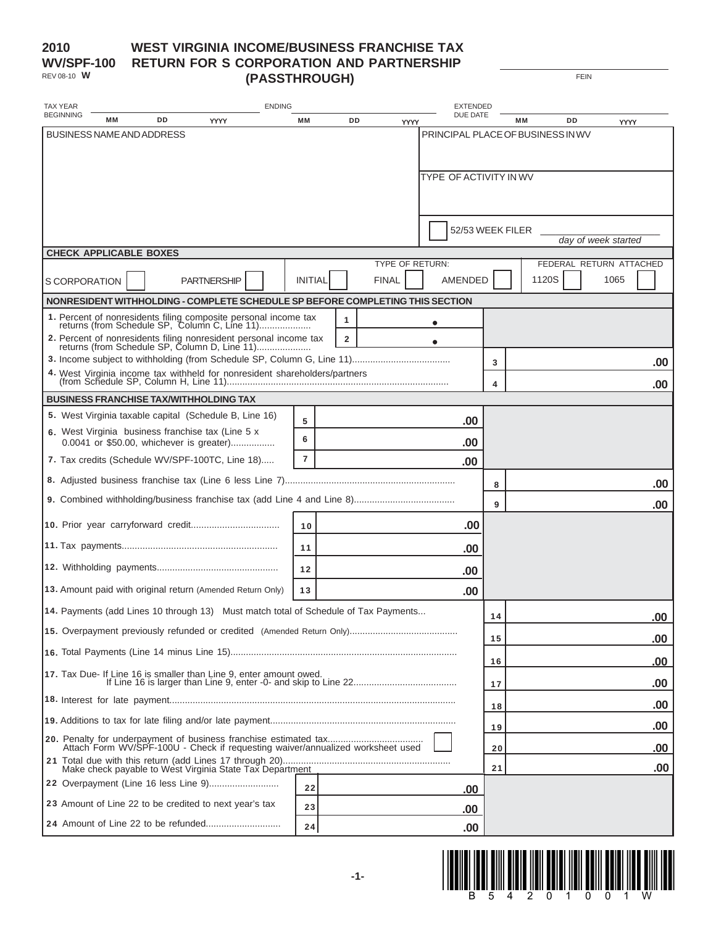### **2010 WV/SPF-100** REV 08-10 **W**

### **WEST VIRGINIA INCOME/BUSINESS FRANCHISE TAX RETURN FOR S CORPORATION AND PARTNERSHIP (PASSTHROUGH)**

FEIN

| <b>TAX YEAR</b>  |               | <b>ENDING</b> |                                  |                                                                                                               |  |                | <b>EXTENDED</b>     |                 |  |                               |    |    |                                   |  |                         |
|------------------|---------------|---------------|----------------------------------|---------------------------------------------------------------------------------------------------------------|--|----------------|---------------------|-----------------|--|-------------------------------|----|----|-----------------------------------|--|-------------------------|
| <b>BEGINNING</b> |               | MМ            | DD                               | YYYY                                                                                                          |  | МM             | DD                  | YYYY            |  | DUE DATE                      |    | MМ | DD                                |  | YYYY                    |
|                  |               |               | <b>BUSINESS NAME AND ADDRESS</b> |                                                                                                               |  |                |                     |                 |  |                               |    |    | PRINCIPAL PLACE OF BUSINESS IN WV |  |                         |
|                  |               |               |                                  |                                                                                                               |  |                |                     |                 |  | <b>TYPE OF ACTIVITY IN WV</b> |    |    |                                   |  |                         |
|                  |               |               |                                  |                                                                                                               |  |                |                     |                 |  | 52/53 WEEK FILER              |    |    |                                   |  | day of week started     |
|                  |               |               | <b>CHECK APPLICABLE BOXES</b>    |                                                                                                               |  |                |                     | TYPE OF RETURN: |  |                               |    |    |                                   |  | FEDERAL RETURN ATTACHED |
|                  | S CORPORATION |               |                                  | <b>PARTNERSHIP</b>                                                                                            |  | <b>INITIAL</b> |                     | <b>FINAL</b>    |  | <b>AMENDED</b>                |    |    | 1120S                             |  | 1065                    |
|                  |               |               |                                  | NONRESIDENT WITHHOLDING - COMPLETE SCHEDULE SP BEFORE COMPLETING THIS SECTION                                 |  |                |                     |                 |  |                               |    |    |                                   |  |                         |
|                  |               |               |                                  | 1. Percent of nonresidents filing composite personal income tax returns (from Schedule SP, Column C, Line 11) |  |                | 1<br>$\overline{2}$ |                 |  |                               |    |    |                                   |  |                         |
|                  |               |               |                                  |                                                                                                               |  |                |                     |                 |  |                               | 3  |    |                                   |  |                         |
|                  |               |               |                                  |                                                                                                               |  |                |                     |                 |  |                               | 4  |    |                                   |  | .00                     |
|                  |               |               |                                  | <b>BUSINESS FRANCHISE TAX/WITHHOLDING TAX</b>                                                                 |  |                |                     |                 |  |                               |    |    |                                   |  | .00                     |
|                  |               |               |                                  | 5. West Virginia taxable capital (Schedule B, Line 16)                                                        |  | 5              |                     |                 |  | .00                           |    |    |                                   |  |                         |
|                  |               |               |                                  | 6. West Virginia business franchise tax (Line 5 x<br>0.0041 or \$50.00, whichever is greater)                 |  | 6              |                     |                 |  | .00                           |    |    |                                   |  |                         |
|                  |               |               |                                  | 7. Tax credits (Schedule WV/SPF-100TC, Line 18)                                                               |  | $\overline{7}$ |                     |                 |  | .00                           |    |    |                                   |  |                         |
|                  |               |               |                                  |                                                                                                               |  |                |                     |                 |  |                               | 8  |    |                                   |  | .00                     |
|                  |               |               |                                  |                                                                                                               |  |                |                     |                 |  |                               | 9  |    |                                   |  | .00                     |
|                  |               |               |                                  |                                                                                                               |  | 10             |                     |                 |  | .00                           |    |    |                                   |  |                         |
|                  |               |               |                                  |                                                                                                               |  | 11             |                     |                 |  | .00                           |    |    |                                   |  |                         |
|                  |               |               |                                  |                                                                                                               |  | 12             |                     |                 |  | .00                           |    |    |                                   |  |                         |
|                  |               |               |                                  | 13. Amount paid with original return (Amended Return Only)                                                    |  | 13             |                     |                 |  | .00                           |    |    |                                   |  |                         |
|                  |               |               |                                  | 14. Payments (add Lines 10 through 13) Must match total of Schedule of Tax Payments                           |  |                |                     |                 |  |                               | 14 |    |                                   |  | .00                     |
|                  |               |               |                                  |                                                                                                               |  |                |                     |                 |  |                               | 15 |    |                                   |  | .00                     |
|                  |               |               |                                  |                                                                                                               |  |                |                     |                 |  |                               | 16 |    |                                   |  | .00                     |
|                  |               |               |                                  |                                                                                                               |  |                |                     |                 |  |                               | 17 |    |                                   |  | .00                     |
|                  |               |               |                                  |                                                                                                               |  |                |                     |                 |  |                               | 18 |    |                                   |  | .00                     |
|                  |               |               |                                  |                                                                                                               |  |                |                     |                 |  |                               | 19 |    |                                   |  | .00                     |
|                  |               |               |                                  | Attach Form WV/SPF-100U - Check if requesting waiver/annualized worksheet used                                |  |                |                     |                 |  |                               | 20 |    |                                   |  | .00                     |
|                  |               |               |                                  |                                                                                                               |  |                |                     |                 |  |                               | 21 |    |                                   |  | .00                     |
|                  |               |               |                                  |                                                                                                               |  | 22             |                     |                 |  | .00.                          |    |    |                                   |  |                         |
|                  |               |               |                                  | 23 Amount of Line 22 to be credited to next year's tax                                                        |  | 23             |                     |                 |  | .00                           |    |    |                                   |  |                         |
|                  |               |               |                                  |                                                                                                               |  | 24             |                     |                 |  | .00                           |    |    |                                   |  |                         |

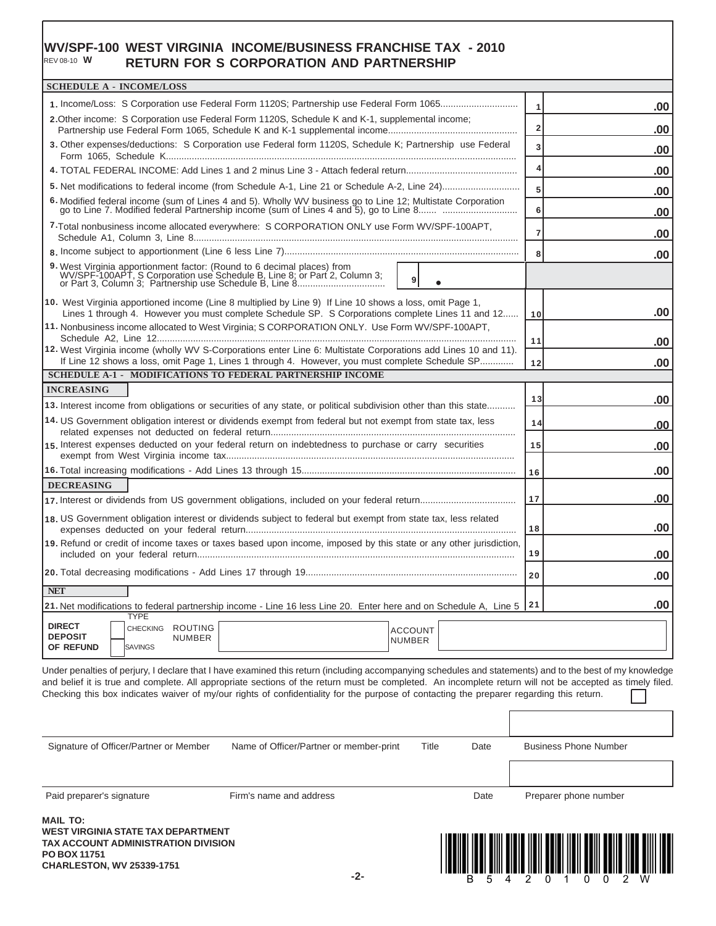#### **WV/SPF-100 WEST VIRGINIA INCOME/BUSINESS FRANCHISE TAX - 2010 RETURN FOR S CORPORATION AND PARTNERSHIP** REV 08-10 **W**

| <b>SCHEDULE A - INCOME/LOSS</b>                                                                                                                                                                                                   |                                                                   |  |  |  |  |  |  |  |  |
|-----------------------------------------------------------------------------------------------------------------------------------------------------------------------------------------------------------------------------------|-------------------------------------------------------------------|--|--|--|--|--|--|--|--|
| 1. Income/Loss: S Corporation use Federal Form 1120S; Partnership use Federal Form 1065                                                                                                                                           | .00<br>$\mathbf{1}$                                               |  |  |  |  |  |  |  |  |
| 2. Other income: S Corporation use Federal Form 1120S, Schedule K and K-1, supplemental income;                                                                                                                                   | $\overline{2}$<br>.00                                             |  |  |  |  |  |  |  |  |
| 3. Other expenses/deductions: S Corporation use Federal form 1120S, Schedule K; Partnership use Federal                                                                                                                           | 3<br>.00                                                          |  |  |  |  |  |  |  |  |
|                                                                                                                                                                                                                                   | 4<br>.00                                                          |  |  |  |  |  |  |  |  |
|                                                                                                                                                                                                                                   | 5<br>.00                                                          |  |  |  |  |  |  |  |  |
| 6. Modified federal income (sum of Lines 4 and 5). Wholly WV business go to Line 12; Multistate Corporation go to Line 7. Modified federal Partnership income (sum of Lines 4 and 5), go to Line 8                                | 6<br>.00                                                          |  |  |  |  |  |  |  |  |
| 7-Total nonbusiness income allocated everywhere: S CORPORATION ONLY use Form WV/SPF-100APT,                                                                                                                                       | $\overline{7}$<br>.00                                             |  |  |  |  |  |  |  |  |
|                                                                                                                                                                                                                                   | 8<br>.00                                                          |  |  |  |  |  |  |  |  |
| 9. West Virginia apportionment factor: (Round to 6 decimal places) from<br>WV/SPF-100APT, S Corporation use Schedule B, Line 8; or Part 2, Column 3;<br>or Part 3, Column 3; Partnership use Schedule B, Line 8<br>9<br>$\bullet$ |                                                                   |  |  |  |  |  |  |  |  |
| 10. West Virginia apportioned income (Line 8 multiplied by Line 9) If Line 10 shows a loss, omit Page 1,<br>Lines 1 through 4. However you must complete Schedule SP. S Corporations complete Lines 11 and 12                     | .00<br>10                                                         |  |  |  |  |  |  |  |  |
| 11. Nonbusiness income allocated to West Virginia; S CORPORATION ONLY. Use Form WV/SPF-100APT,                                                                                                                                    |                                                                   |  |  |  |  |  |  |  |  |
| 12. West Virginia income (wholly WV S-Corporations enter Line 6: Multistate Corporations add Lines 10 and 11).                                                                                                                    | 11<br>.00                                                         |  |  |  |  |  |  |  |  |
| If Line 12 shows a loss, omit Page 1, Lines 1 through 4. However, you must complete Schedule SP                                                                                                                                   | .00<br>12                                                         |  |  |  |  |  |  |  |  |
|                                                                                                                                                                                                                                   | <b>SCHEDULE A-1 - MODIFICATIONS TO FEDERAL PARTNERSHIP INCOME</b> |  |  |  |  |  |  |  |  |
| <b>INCREASING</b><br>13. Interest income from obligations or securities of any state, or political subdivision other than this state                                                                                              | .00<br>13                                                         |  |  |  |  |  |  |  |  |
| 14. US Government obligation interest or dividends exempt from federal but not exempt from state tax, less                                                                                                                        | 14<br>.00                                                         |  |  |  |  |  |  |  |  |
| 15. Interest expenses deducted on your federal return on indebtedness to purchase or carry securities                                                                                                                             | 15<br>.00                                                         |  |  |  |  |  |  |  |  |
|                                                                                                                                                                                                                                   | .00<br>16                                                         |  |  |  |  |  |  |  |  |
| <b>DECREASING</b>                                                                                                                                                                                                                 |                                                                   |  |  |  |  |  |  |  |  |
|                                                                                                                                                                                                                                   | .00<br>17                                                         |  |  |  |  |  |  |  |  |
| 18. US Government obligation interest or dividends subject to federal but exempt from state tax, less related                                                                                                                     | .00<br>18                                                         |  |  |  |  |  |  |  |  |
| 19. Refund or credit of income taxes or taxes based upon income, imposed by this state or any other jurisdiction,                                                                                                                 | 19<br>.00                                                         |  |  |  |  |  |  |  |  |
|                                                                                                                                                                                                                                   | .00<br>20                                                         |  |  |  |  |  |  |  |  |
| <b>NET</b>                                                                                                                                                                                                                        |                                                                   |  |  |  |  |  |  |  |  |
| 21. Net modifications to federal partnership income - Line 16 less Line 20. Enter here and on Schedule A, Line 5<br><b>TYPE</b>                                                                                                   | .00<br>21                                                         |  |  |  |  |  |  |  |  |
| <b>DIRECT</b><br>CHECKING ROUTING<br><b>ACCOUNT</b><br><b>DEPOSIT</b><br><b>NUMBER</b><br><b>NUMBER</b><br>OF REFUND<br><b>SAVINGS</b>                                                                                            |                                                                   |  |  |  |  |  |  |  |  |

Under penalties of perjury, I declare that I have examined this return (including accompanying schedules and statements) and to the best of my knowledge and belief it is true and complete. All appropriate sections of the return must be completed. An incomplete return will not be accepted as timely filed. Checking this box indicates waiver of my/our rights of confidentiality for the purpose of contacting the preparer regarding this return.

| <b>MAIL TO:</b>                        |                                         |       |      |                              |  |  |
|----------------------------------------|-----------------------------------------|-------|------|------------------------------|--|--|
| Paid preparer's signature              | Firm's name and address                 |       | Date | Preparer phone number        |  |  |
|                                        |                                         |       |      |                              |  |  |
| Signature of Officer/Partner or Member | Name of Officer/Partner or member-print | Title | Date | <b>Business Phone Number</b> |  |  |
|                                        |                                         |       |      |                              |  |  |

**WEST VIRGINIA STATE TAX DEPARTMENT TAX ACCOUNT ADMINISTRATION DIVISION PO BOX 11751 CHARLESTON, WV 25339-1751**

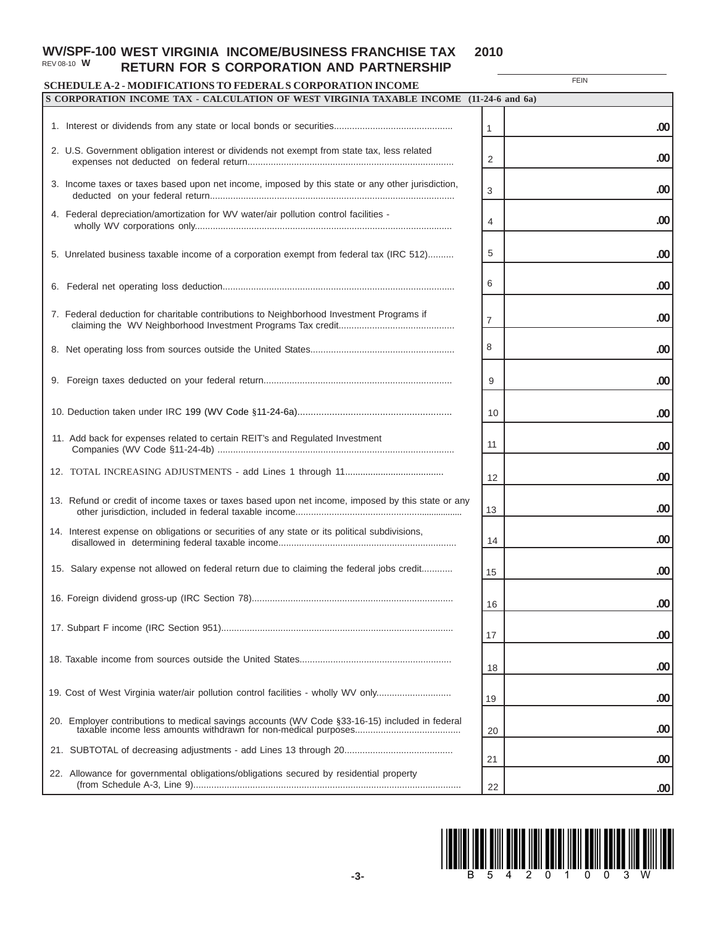#### **WV/SPF-100 WEST VIRGINIA INCOME/BUSINESS FRANCHISE TAX 2010 RETURN FOR S CORPORATION AND PARTNERSHIP** REV 08-10 **W**

### **SCHEDULE A-2 - SCHEDULE A-2 - MODIFICATIONS TO FEDERAL S CORPORATIONS TO FEDERAL SERVICION INCOMEDIATION**

**FEIN** 

| SCHEDULE A-2 - MODIFICATIONS TO FEDERAL S CORPORATION INCOME                                      |    |     |
|---------------------------------------------------------------------------------------------------|----|-----|
| S CORPORATION INCOME TAX - CALCULATION OF WEST VIRGINIA TAXABLE INCOME (11-24-6 and 6a)           |    |     |
|                                                                                                   | 1  | .00 |
| 2. U.S. Government obligation interest or dividends not exempt from state tax, less related       | 2  | .00 |
| 3. Income taxes or taxes based upon net income, imposed by this state or any other jurisdiction,  | 3  | .00 |
| 4. Federal depreciation/amortization for WV water/air pollution control facilities -              | 4  | .00 |
| 5. Unrelated business taxable income of a corporation exempt from federal tax (IRC 512)           | 5  | .00 |
|                                                                                                   | 6  | .00 |
| 7. Federal deduction for charitable contributions to Neighborhood Investment Programs if          | 7  | .00 |
|                                                                                                   | 8  | .00 |
|                                                                                                   | 9  | .00 |
|                                                                                                   | 10 | .00 |
| 11. Add back for expenses related to certain REIT's and Regulated Investment                      | 11 | .00 |
|                                                                                                   | 12 | .00 |
| 13. Refund or credit of income taxes or taxes based upon net income, imposed by this state or any | 13 | .00 |
| 14. Interest expense on obligations or securities of any state or its political subdivisions,     | 14 | .00 |
| 15. Salary expense not allowed on federal return due to claiming the federal jobs credit          | 15 | .00 |
|                                                                                                   | 16 | .00 |
|                                                                                                   | 17 | .00 |
|                                                                                                   | 18 | .00 |
| 19. Cost of West Virginia water/air pollution control facilities - wholly WV only                 | 19 | .00 |
| 20. Employer contributions to medical savings accounts (WV Code §33-16-15) included in federal    | 20 | .00 |
| 22. Allowance for governmental obligations/obligations secured by residential property            | 21 | .00 |
|                                                                                                   | 22 | .00 |

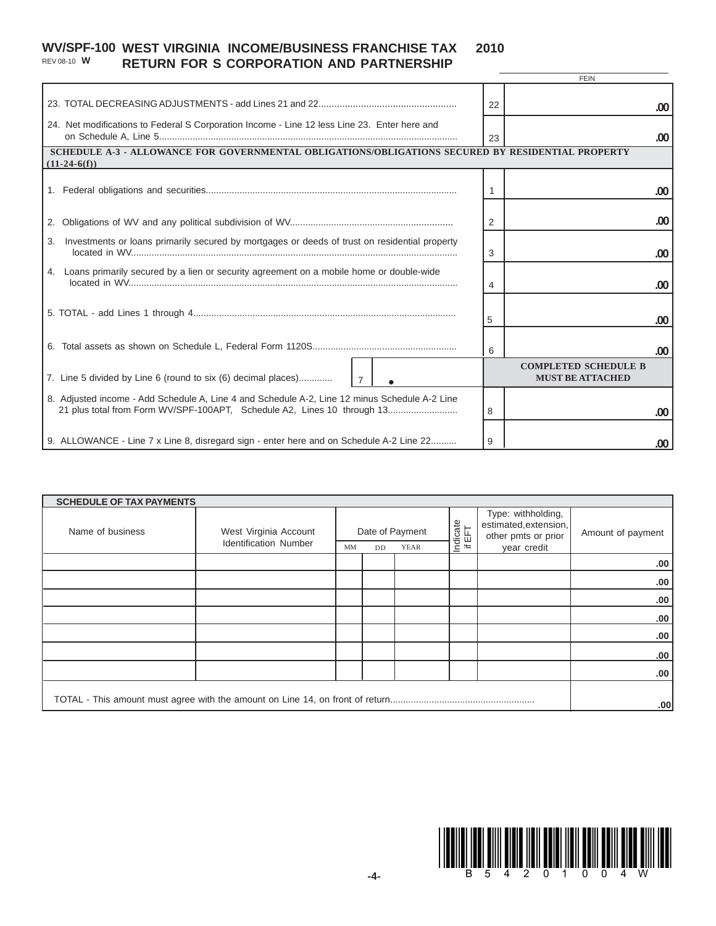#### **WV/SPF-100 WEST VIRGINIA INCOME/BUSINESS FRANCHISE TAX 2010 RETURN FOR S CORPORATION AND PARTNERSHIP** REV 08-10 **W**

|                                                                                                                                                                          |    | FEIN                                                   |  |  |  |  |  |  |  |
|--------------------------------------------------------------------------------------------------------------------------------------------------------------------------|----|--------------------------------------------------------|--|--|--|--|--|--|--|
|                                                                                                                                                                          | 22 | .00                                                    |  |  |  |  |  |  |  |
| 24. Net modifications to Federal S Corporation Income - Line 12 less Line 23. Enter here and                                                                             | 23 | .00                                                    |  |  |  |  |  |  |  |
| SCHEDULE A-3 - ALLOWANCE FOR GOVERNMENTAL OBLIGATIONS/OBLIGATIONS SECURED BY RESIDENTIAL PROPERTY<br>$(11-24-6(f))$                                                      |    |                                                        |  |  |  |  |  |  |  |
|                                                                                                                                                                          |    | .00                                                    |  |  |  |  |  |  |  |
| 2.                                                                                                                                                                       | 2  | .00                                                    |  |  |  |  |  |  |  |
| Investments or loans primarily secured by mortgages or deeds of trust on residential property<br>3.                                                                      | 3  | .00                                                    |  |  |  |  |  |  |  |
| 4. Loans primarily secured by a lien or security agreement on a mobile home or double-wide                                                                               | 4  | .00                                                    |  |  |  |  |  |  |  |
|                                                                                                                                                                          | 5  | .00                                                    |  |  |  |  |  |  |  |
|                                                                                                                                                                          | 6  | .00                                                    |  |  |  |  |  |  |  |
| 7. Line 5 divided by Line 6 (round to six (6) decimal places)<br>$\overline{7}$                                                                                          |    | <b>COMPLETED SCHEDULE B</b><br><b>MUST BE ATTACHED</b> |  |  |  |  |  |  |  |
| 8. Adjusted income - Add Schedule A, Line 4 and Schedule A-2, Line 12 minus Schedule A-2 Line<br>21 plus total from Form WV/SPF-100APT, Schedule A2, Lines 10 through 13 | 8  | .00                                                    |  |  |  |  |  |  |  |
| 9. ALLOWANCE - Line 7 x Line 8, disregard sign - enter here and on Schedule A-2 Line 22                                                                                  | 9  | .00                                                    |  |  |  |  |  |  |  |

| <b>SCHEDULE OF TAX PAYMENTS</b> |                                                       |                                                   |  |  |                    |                                                                                   |                   |  |  |
|---------------------------------|-------------------------------------------------------|---------------------------------------------------|--|--|--------------------|-----------------------------------------------------------------------------------|-------------------|--|--|
| Name of business                | West Virginia Account<br><b>Identification Number</b> | Date of Payment<br><b>YEAR</b><br>MM<br><b>DD</b> |  |  | Indicate<br>if EFT | Type: withholding,<br>estimated, extension,<br>other pmts or prior<br>year credit | Amount of payment |  |  |
|                                 |                                                       |                                                   |  |  |                    |                                                                                   | .00.              |  |  |
|                                 |                                                       |                                                   |  |  |                    |                                                                                   | .00               |  |  |
|                                 |                                                       |                                                   |  |  |                    |                                                                                   | .00               |  |  |
|                                 |                                                       |                                                   |  |  |                    |                                                                                   | .00.              |  |  |
|                                 |                                                       |                                                   |  |  |                    |                                                                                   | .00               |  |  |
|                                 |                                                       |                                                   |  |  |                    |                                                                                   | .00               |  |  |
|                                 |                                                       |                                                   |  |  |                    |                                                                                   | .00.              |  |  |
|                                 |                                                       |                                                   |  |  |                    |                                                                                   |                   |  |  |
|                                 |                                                       |                                                   |  |  |                    |                                                                                   | .00               |  |  |



 $\overline{---}$